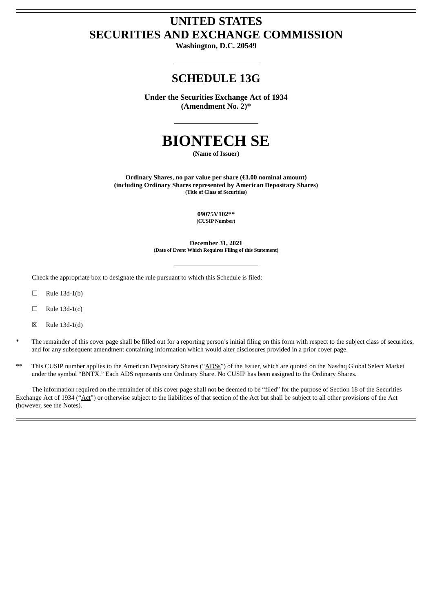# **UNITED STATES SECURITIES AND EXCHANGE COMMISSION**

**Washington, D.C. 20549**

## **SCHEDULE 13G**

**Under the Securities Exchange Act of 1934 (Amendment No. 2)\***

# **BIONTECH SE**

**(Name of Issuer)**

**Ordinary Shares, no par value per share (€1.00 nominal amount) (including Ordinary Shares represented by American Depositary Shares) (Title of Class of Securities)**

> **09075V102\*\* (CUSIP Number)**

**December 31, 2021 (Date of Event Which Requires Filing of this Statement)**

Check the appropriate box to designate the rule pursuant to which this Schedule is filed:

- ☐ Rule 13d-1(b)
- $\Box$  Rule 13d-1(c)
- ☒ Rule 13d-1(d)
- The remainder of this cover page shall be filled out for a reporting person's initial filing on this form with respect to the subject class of securities, and for any subsequent amendment containing information which would alter disclosures provided in a prior cover page.
- This CUSIP number applies to the American Depositary Shares ("ADSs") of the Issuer, which are quoted on the Nasdaq Global Select Market under the symbol "BNTX." Each ADS represents one Ordinary Share. No CUSIP has been assigned to the Ordinary Shares.

The information required on the remainder of this cover page shall not be deemed to be "filed" for the purpose of Section 18 of the Securities Exchange Act of 1934 ("Act") or otherwise subject to the liabilities of that section of the Act but shall be subject to all other provisions of the Act (however, see the Notes).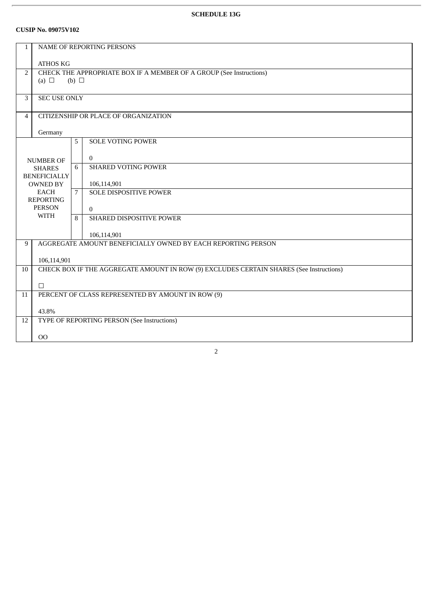## **SCHEDULE 13G**

#### **CUSIP No. 09075V102**

| $\mathbf{1}$                      | NAME OF REPORTING PERSONS                                           |   |                                                                                         |  |  |
|-----------------------------------|---------------------------------------------------------------------|---|-----------------------------------------------------------------------------------------|--|--|
|                                   | <b>ATHOS KG</b>                                                     |   |                                                                                         |  |  |
| $\overline{2}$                    | CHECK THE APPROPRIATE BOX IF A MEMBER OF A GROUP (See Instructions) |   |                                                                                         |  |  |
|                                   | (a) $\Box$<br>(b) $\Box$                                            |   |                                                                                         |  |  |
| $\overline{3}$                    | <b>SEC USE ONLY</b>                                                 |   |                                                                                         |  |  |
|                                   |                                                                     |   |                                                                                         |  |  |
| $\overline{4}$                    | CITIZENSHIP OR PLACE OF ORGANIZATION                                |   |                                                                                         |  |  |
|                                   | Germany                                                             |   |                                                                                         |  |  |
|                                   |                                                                     | 5 | <b>SOLE VOTING POWER</b>                                                                |  |  |
|                                   |                                                                     |   | $\overline{0}$                                                                          |  |  |
| <b>NUMBER OF</b><br><b>SHARES</b> |                                                                     | 6 | <b>SHARED VOTING POWER</b>                                                              |  |  |
|                                   | <b>BENEFICIALLY</b>                                                 |   |                                                                                         |  |  |
|                                   | <b>OWNED BY</b><br><b>EACH</b>                                      |   | 106,114,901                                                                             |  |  |
|                                   | <b>REPORTING</b>                                                    | 7 | SOLE DISPOSITIVE POWER                                                                  |  |  |
|                                   | <b>PERSON</b>                                                       |   | $\mathbf{0}$                                                                            |  |  |
|                                   | <b>WITH</b>                                                         | 8 | <b>SHARED DISPOSITIVE POWER</b>                                                         |  |  |
|                                   |                                                                     |   | 106,114,901                                                                             |  |  |
| 9                                 |                                                                     |   | AGGREGATE AMOUNT BENEFICIALLY OWNED BY EACH REPORTING PERSON                            |  |  |
|                                   |                                                                     |   |                                                                                         |  |  |
|                                   | 106,114,901                                                         |   | CHECK BOX IF THE AGGREGATE AMOUNT IN ROW (9) EXCLUDES CERTAIN SHARES (See Instructions) |  |  |
| 10                                |                                                                     |   |                                                                                         |  |  |
|                                   | $\Box$                                                              |   |                                                                                         |  |  |
| 11                                | PERCENT OF CLASS REPRESENTED BY AMOUNT IN ROW (9)                   |   |                                                                                         |  |  |
|                                   | 43.8%                                                               |   |                                                                                         |  |  |
| 12                                |                                                                     |   | TYPE OF REPORTING PERSON (See Instructions)                                             |  |  |
|                                   |                                                                     |   |                                                                                         |  |  |
|                                   | 00                                                                  |   |                                                                                         |  |  |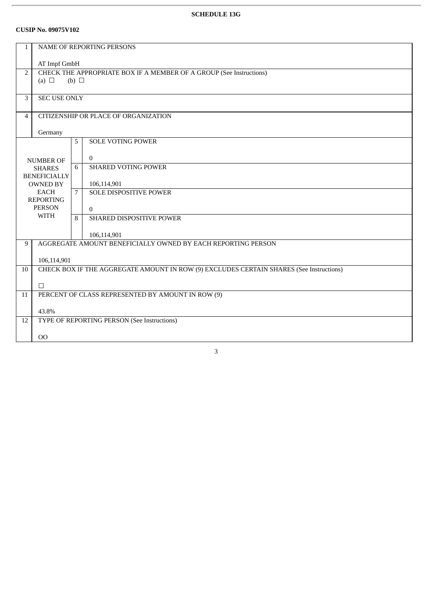## **SCHEDULE 13G**

#### **CUSIP No. 09075V102**

| $\mathbf{1}$                   | NAME OF REPORTING PERSONS                                           |   |                                                                                         |  |  |
|--------------------------------|---------------------------------------------------------------------|---|-----------------------------------------------------------------------------------------|--|--|
|                                | AT Impf GmbH                                                        |   |                                                                                         |  |  |
| $\overline{2}$                 | CHECK THE APPROPRIATE BOX IF A MEMBER OF A GROUP (See Instructions) |   |                                                                                         |  |  |
|                                | (a) $\Box$<br>(b) $\Box$                                            |   |                                                                                         |  |  |
| 3                              | <b>SEC USE ONLY</b>                                                 |   |                                                                                         |  |  |
| $\overline{4}$                 | CITIZENSHIP OR PLACE OF ORGANIZATION                                |   |                                                                                         |  |  |
|                                |                                                                     |   |                                                                                         |  |  |
|                                | Germany                                                             |   |                                                                                         |  |  |
|                                |                                                                     | 5 | <b>SOLE VOTING POWER</b>                                                                |  |  |
|                                | <b>NUMBER OF</b>                                                    |   | $\overline{0}$                                                                          |  |  |
| <b>SHARES</b>                  |                                                                     | 6 | <b>SHARED VOTING POWER</b>                                                              |  |  |
|                                | <b>BENEFICIALLY</b>                                                 |   |                                                                                         |  |  |
| <b>OWNED BY</b><br><b>EACH</b> |                                                                     | 7 | 106,114,901<br>SOLE DISPOSITIVE POWER                                                   |  |  |
|                                | <b>REPORTING</b>                                                    |   |                                                                                         |  |  |
|                                | <b>PERSON</b>                                                       |   | $\theta$                                                                                |  |  |
|                                | <b>WITH</b>                                                         | 8 | <b>SHARED DISPOSITIVE POWER</b>                                                         |  |  |
|                                |                                                                     |   | 106,114,901                                                                             |  |  |
| 9                              |                                                                     |   | AGGREGATE AMOUNT BENEFICIALLY OWNED BY EACH REPORTING PERSON                            |  |  |
|                                |                                                                     |   |                                                                                         |  |  |
|                                | 106,114,901                                                         |   |                                                                                         |  |  |
| 10                             |                                                                     |   | CHECK BOX IF THE AGGREGATE AMOUNT IN ROW (9) EXCLUDES CERTAIN SHARES (See Instructions) |  |  |
|                                | $\Box$                                                              |   |                                                                                         |  |  |
| 11                             | PERCENT OF CLASS REPRESENTED BY AMOUNT IN ROW (9)                   |   |                                                                                         |  |  |
|                                |                                                                     |   |                                                                                         |  |  |
| 12                             | 43.8%<br>TYPE OF REPORTING PERSON (See Instructions)                |   |                                                                                         |  |  |
|                                |                                                                     |   |                                                                                         |  |  |
|                                | 00                                                                  |   |                                                                                         |  |  |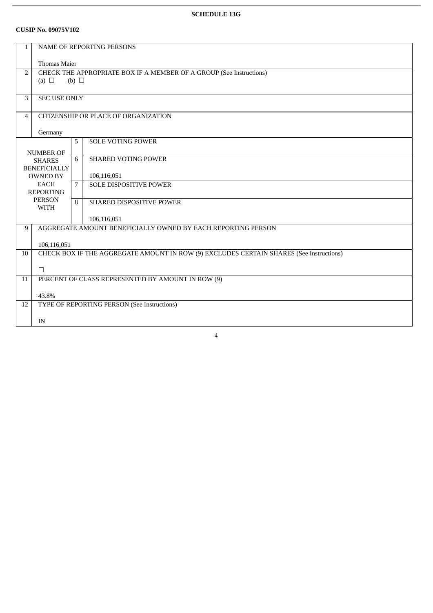## **SCHEDULE 13G**

#### **CUSIP No. 09075V102**

| $\mathbf{1}$   | NAME OF REPORTING PERSONS                                                                              |                 |                                 |  |  |
|----------------|--------------------------------------------------------------------------------------------------------|-----------------|---------------------------------|--|--|
|                | <b>Thomas Maier</b>                                                                                    |                 |                                 |  |  |
| 2              | CHECK THE APPROPRIATE BOX IF A MEMBER OF A GROUP (See Instructions)                                    |                 |                                 |  |  |
|                | (a) $\Box$                                                                                             | $(b)$ $\square$ |                                 |  |  |
| $\overline{3}$ | <b>SEC USE ONLY</b>                                                                                    |                 |                                 |  |  |
|                |                                                                                                        |                 |                                 |  |  |
| $\overline{4}$ | CITIZENSHIP OR PLACE OF ORGANIZATION                                                                   |                 |                                 |  |  |
|                | Germany                                                                                                |                 |                                 |  |  |
|                |                                                                                                        | 5               | <b>SOLE VOTING POWER</b>        |  |  |
|                | <b>NUMBER OF</b>                                                                                       |                 |                                 |  |  |
|                | <b>SHARES</b>                                                                                          | 6               | <b>SHARED VOTING POWER</b>      |  |  |
|                | <b>BENEFICIALLY</b><br><b>OWNED BY</b>                                                                 |                 | 106,116,051                     |  |  |
| <b>EACH</b>    |                                                                                                        | 7               | <b>SOLE DISPOSITIVE POWER</b>   |  |  |
|                | <b>REPORTING</b>                                                                                       |                 |                                 |  |  |
|                | <b>PERSON</b><br><b>WITH</b>                                                                           | 8               | <b>SHARED DISPOSITIVE POWER</b> |  |  |
|                |                                                                                                        |                 | 106,116,051                     |  |  |
| 9              | AGGREGATE AMOUNT BENEFICIALLY OWNED BY EACH REPORTING PERSON                                           |                 |                                 |  |  |
|                |                                                                                                        |                 |                                 |  |  |
| 10             | 106,116,051<br>CHECK BOX IF THE AGGREGATE AMOUNT IN ROW (9) EXCLUDES CERTAIN SHARES (See Instructions) |                 |                                 |  |  |
|                |                                                                                                        |                 |                                 |  |  |
|                | $\Box$                                                                                                 |                 |                                 |  |  |
| 11             | PERCENT OF CLASS REPRESENTED BY AMOUNT IN ROW (9)                                                      |                 |                                 |  |  |
|                | 43.8%                                                                                                  |                 |                                 |  |  |
| 12             | TYPE OF REPORTING PERSON (See Instructions)                                                            |                 |                                 |  |  |
|                |                                                                                                        |                 |                                 |  |  |
|                | IN                                                                                                     |                 |                                 |  |  |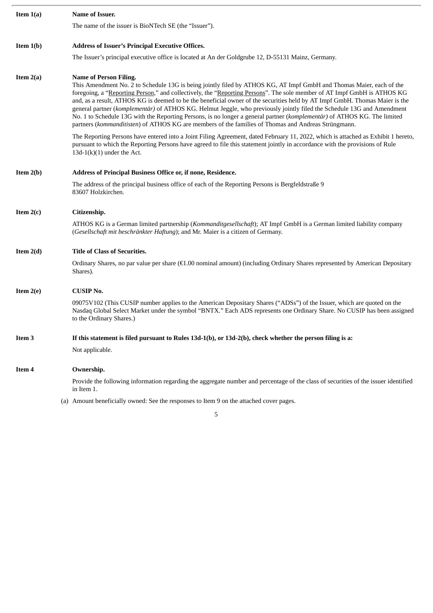| Item $1(a)$ | Name of Issuer.                                                                                                                                                                                                                                                                                                                                                                                                                                                                                                                                                                                                                                                                                                                                                             |
|-------------|-----------------------------------------------------------------------------------------------------------------------------------------------------------------------------------------------------------------------------------------------------------------------------------------------------------------------------------------------------------------------------------------------------------------------------------------------------------------------------------------------------------------------------------------------------------------------------------------------------------------------------------------------------------------------------------------------------------------------------------------------------------------------------|
|             | The name of the issuer is BioNTech SE (the "Issuer").                                                                                                                                                                                                                                                                                                                                                                                                                                                                                                                                                                                                                                                                                                                       |
| Item $1(b)$ | <b>Address of Issuer's Principal Executive Offices.</b>                                                                                                                                                                                                                                                                                                                                                                                                                                                                                                                                                                                                                                                                                                                     |
|             | The Issuer's principal executive office is located at An der Goldgrube 12, D-55131 Mainz, Germany.                                                                                                                                                                                                                                                                                                                                                                                                                                                                                                                                                                                                                                                                          |
| Item $2(a)$ | <b>Name of Person Filing.</b><br>This Amendment No. 2 to Schedule 13G is being jointly filed by ATHOS KG, AT Impf GmbH and Thomas Maier, each of the<br>foregoing, a "Reporting Person," and collectively, the "Reporting Persons". The sole member of AT Impf GmbH is ATHOS KG<br>and, as a result, ATHOS KG is deemed to be the beneficial owner of the securities held by AT Impf GmbH. Thomas Maier is the<br>general partner (komplementär) of ATHOS KG. Helmut Jeggle, who previously jointly filed the Schedule 13G and Amendment<br>No. 1 to Schedule 13G with the Reporting Persons, is no longer a general partner (komplementär) of ATHOS KG. The limited<br>partners (kommanditisten) of ATHOS KG are members of the families of Thomas and Andreas Strüngmann. |
|             | The Reporting Persons have entered into a Joint Filing Agreement, dated February 11, 2022, which is attached as Exhibit 1 hereto,<br>pursuant to which the Reporting Persons have agreed to file this statement jointly in accordance with the provisions of Rule<br>$13d-1(k)(1)$ under the Act.                                                                                                                                                                                                                                                                                                                                                                                                                                                                           |
| Item $2(b)$ | <b>Address of Principal Business Office or, if none, Residence.</b>                                                                                                                                                                                                                                                                                                                                                                                                                                                                                                                                                                                                                                                                                                         |
|             | The address of the principal business office of each of the Reporting Persons is Bergfeldstraße 9<br>83607 Holzkirchen.                                                                                                                                                                                                                                                                                                                                                                                                                                                                                                                                                                                                                                                     |
| Item $2(c)$ | Citizenship.                                                                                                                                                                                                                                                                                                                                                                                                                                                                                                                                                                                                                                                                                                                                                                |
|             | ATHOS KG is a German limited partnership (Kommanditgesellschaft); AT Impf GmbH is a German limited liability company<br>(Gesellschaft mit beschränkter Haftung); and Mr. Maier is a citizen of Germany.                                                                                                                                                                                                                                                                                                                                                                                                                                                                                                                                                                     |
| Item $2(d)$ | <b>Title of Class of Securities.</b>                                                                                                                                                                                                                                                                                                                                                                                                                                                                                                                                                                                                                                                                                                                                        |
|             | Ordinary Shares, no par value per share $(E1.00$ nominal amount) (including Ordinary Shares represented by American Depositary<br>Shares).                                                                                                                                                                                                                                                                                                                                                                                                                                                                                                                                                                                                                                  |
| Item $2(e)$ | <b>CUSIP No.</b>                                                                                                                                                                                                                                                                                                                                                                                                                                                                                                                                                                                                                                                                                                                                                            |
|             | 09075V102 (This CUSIP number applies to the American Depositary Shares ("ADSs") of the Issuer, which are quoted on the<br>Nasdaq Global Select Market under the symbol "BNTX." Each ADS represents one Ordinary Share. No CUSIP has been assigned<br>to the Ordinary Shares.)                                                                                                                                                                                                                                                                                                                                                                                                                                                                                               |
| Item 3      | If this statement is filed pursuant to Rules 13d-1(b), or 13d-2(b), check whether the person filing is a:                                                                                                                                                                                                                                                                                                                                                                                                                                                                                                                                                                                                                                                                   |
|             | Not applicable.                                                                                                                                                                                                                                                                                                                                                                                                                                                                                                                                                                                                                                                                                                                                                             |
| Item 4      | Ownership.                                                                                                                                                                                                                                                                                                                                                                                                                                                                                                                                                                                                                                                                                                                                                                  |
|             | Provide the following information regarding the aggregate number and percentage of the class of securities of the issuer identified<br>in Item 1.                                                                                                                                                                                                                                                                                                                                                                                                                                                                                                                                                                                                                           |
|             |                                                                                                                                                                                                                                                                                                                                                                                                                                                                                                                                                                                                                                                                                                                                                                             |

(a) Amount beneficially owned: See the responses to Item 9 on the attached cover pages.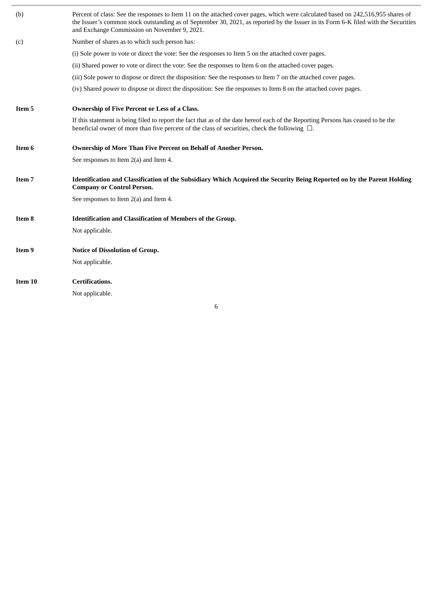| (b)     | Percent of class: See the responses to Item 11 on the attached cover pages, which were calculated based on 242,516,955 shares of<br>the Issuer's common stock outstanding as of September 30, 2021, as reported by the Issuer in its Form 6-K filed with the Securities<br>and Exchange Commission on November 9, 2021. |
|---------|-------------------------------------------------------------------------------------------------------------------------------------------------------------------------------------------------------------------------------------------------------------------------------------------------------------------------|
| (c)     | Number of shares as to which such person has:                                                                                                                                                                                                                                                                           |
|         | (i) Sole power to vote or direct the vote: See the responses to Item 5 on the attached cover pages.                                                                                                                                                                                                                     |
|         | (ii) Shared power to vote or direct the vote: See the responses to Item 6 on the attached cover pages.                                                                                                                                                                                                                  |
|         | (iii) Sole power to dispose or direct the disposition: See the responses to Item 7 on the attached cover pages.                                                                                                                                                                                                         |
|         | (iv) Shared power to dispose or direct the disposition: See the responses to Item 8 on the attached cover pages.                                                                                                                                                                                                        |
| Item 5  | Ownership of Five Percent or Less of a Class.                                                                                                                                                                                                                                                                           |
|         | If this statement is being filed to report the fact that as of the date hereof each of the Reporting Persons has ceased to be the<br>beneficial owner of more than five percent of the class of securities, check the following $\Box$ .                                                                                |
| Item 6  | Ownership of More Than Five Percent on Behalf of Another Person.                                                                                                                                                                                                                                                        |
|         | See responses to Item 2(a) and Item 4.                                                                                                                                                                                                                                                                                  |
| Item 7  | Identification and Classification of the Subsidiary Which Acquired the Security Being Reported on by the Parent Holding<br><b>Company or Control Person.</b>                                                                                                                                                            |
|         | See responses to Item 2(a) and Item 4.                                                                                                                                                                                                                                                                                  |
| Item 8  | Identification and Classification of Members of the Group.                                                                                                                                                                                                                                                              |
|         | Not applicable.                                                                                                                                                                                                                                                                                                         |
| Item 9  | <b>Notice of Dissolution of Group.</b>                                                                                                                                                                                                                                                                                  |
|         | Not applicable.                                                                                                                                                                                                                                                                                                         |
| Item 10 | <b>Certifications.</b>                                                                                                                                                                                                                                                                                                  |
|         | Not applicable.                                                                                                                                                                                                                                                                                                         |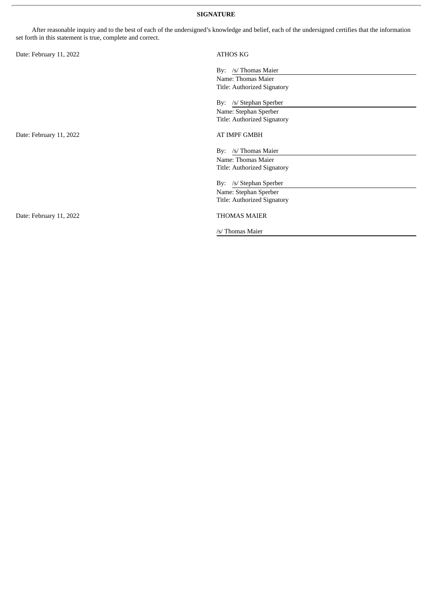#### **SIGNATURE**

After reasonable inquiry and to the best of each of the undersigned's knowledge and belief, each of the undersigned certifies that the information set forth in this statement is true, complete and correct.

| Date: February 11, 2022 | <b>ATHOS KG</b>                                                                           |
|-------------------------|-------------------------------------------------------------------------------------------|
|                         | /s/ Thomas Maier<br>By:<br>Name: Thomas Maier<br>Title: Authorized Signatory              |
|                         | /s/ Stephan Sperber<br>By:<br>Name: Stephan Sperber<br><b>Title: Authorized Signatory</b> |
| Date: February 11, 2022 | AT IMPF GMBH                                                                              |
|                         | /s/ Thomas Maier<br>By:<br>Name: Thomas Maier<br>Title: Authorized Signatory              |
|                         | By: /s/ Stephan Sperber<br>Name: Stephan Sperber<br>Title: Authorized Signatory           |
| Date: February 11, 2022 | <b>THOMAS MAIER</b>                                                                       |
|                         | /s/ Thomas Maier                                                                          |